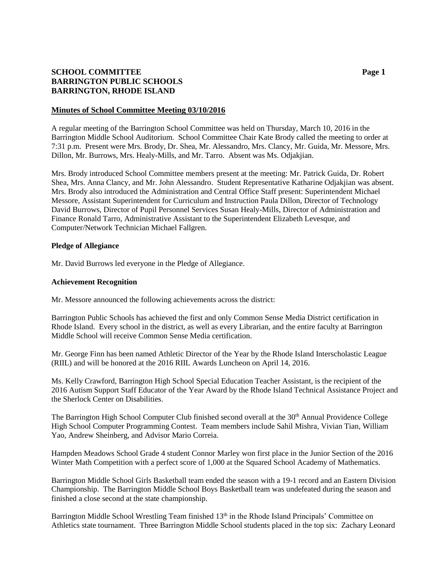# **SCHOOL COMMITTEE Page 1 BARRINGTON PUBLIC SCHOOLS BARRINGTON, RHODE ISLAND**

## **Minutes of School Committee Meeting 03/10/2016**

A regular meeting of the Barrington School Committee was held on Thursday, March 10, 2016 in the Barrington Middle School Auditorium. School Committee Chair Kate Brody called the meeting to order at 7:31 p.m. Present were Mrs. Brody, Dr. Shea, Mr. Alessandro, Mrs. Clancy, Mr. Guida, Mr. Messore, Mrs. Dillon, Mr. Burrows, Mrs. Healy-Mills, and Mr. Tarro. Absent was Ms. Odjakjian.

Mrs. Brody introduced School Committee members present at the meeting: Mr. Patrick Guida, Dr. Robert Shea, Mrs. Anna Clancy, and Mr. John Alessandro. Student Representative Katharine Odjakjian was absent. Mrs. Brody also introduced the Administration and Central Office Staff present: Superintendent Michael Messore, Assistant Superintendent for Curriculum and Instruction Paula Dillon, Director of Technology David Burrows, Director of Pupil Personnel Services Susan Healy-Mills, Director of Administration and Finance Ronald Tarro, Administrative Assistant to the Superintendent Elizabeth Levesque, and Computer/Network Technician Michael Fallgren.

## **Pledge of Allegiance**

Mr. David Burrows led everyone in the Pledge of Allegiance.

#### **Achievement Recognition**

Mr. Messore announced the following achievements across the district:

Barrington Public Schools has achieved the first and only Common Sense Media District certification in Rhode Island. Every school in the district, as well as every Librarian, and the entire faculty at Barrington Middle School will receive Common Sense Media certification.

Mr. George Finn has been named Athletic Director of the Year by the Rhode Island Interscholastic League (RIIL) and will be honored at the 2016 RIIL Awards Luncheon on April 14, 2016.

Ms. Kelly Crawford, Barrington High School Special Education Teacher Assistant, is the recipient of the 2016 Autism Support Staff Educator of the Year Award by the Rhode Island Technical Assistance Project and the Sherlock Center on Disabilities.

The Barrington High School Computer Club finished second overall at the 30<sup>th</sup> Annual Providence College High School Computer Programming Contest. Team members include Sahil Mishra, Vivian Tian, William Yao, Andrew Sheinberg, and Advisor Mario Correia.

Hampden Meadows School Grade 4 student Connor Marley won first place in the Junior Section of the 2016 Winter Math Competition with a perfect score of 1,000 at the Squared School Academy of Mathematics.

Barrington Middle School Girls Basketball team ended the season with a 19-1 record and an Eastern Division Championship. The Barrington Middle School Boys Basketball team was undefeated during the season and finished a close second at the state championship.

Barrington Middle School Wrestling Team finished 13<sup>th</sup> in the Rhode Island Principals' Committee on Athletics state tournament. Three Barrington Middle School students placed in the top six: Zachary Leonard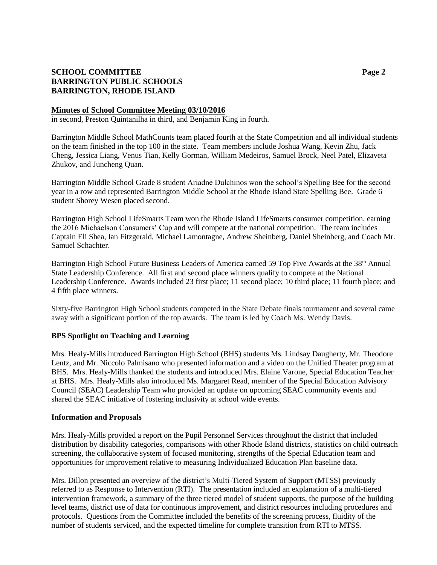# **SCHOOL COMMITTEE Page 2 BARRINGTON PUBLIC SCHOOLS BARRINGTON, RHODE ISLAND**

## **Minutes of School Committee Meeting 03/10/2016**

in second, Preston Quintanilha in third, and Benjamin King in fourth.

Barrington Middle School MathCounts team placed fourth at the State Competition and all individual students on the team finished in the top 100 in the state. Team members include Joshua Wang, Kevin Zhu, Jack Cheng, Jessica Liang, Venus Tian, Kelly Gorman, William Medeiros, Samuel Brock, Neel Patel, Elizaveta Zhukov, and Juncheng Quan.

Barrington Middle School Grade 8 student Ariadne Dulchinos won the school's Spelling Bee for the second year in a row and represented Barrington Middle School at the Rhode Island State Spelling Bee. Grade 6 student Shorey Wesen placed second.

Barrington High School LifeSmarts Team won the Rhode Island LifeSmarts consumer competition, earning the 2016 Michaelson Consumers' Cup and will compete at the national competition. The team includes Captain Eli Shea, Ian Fitzgerald, Michael Lamontagne, Andrew Sheinberg, Daniel Sheinberg, and Coach Mr. Samuel Schachter.

Barrington High School Future Business Leaders of America earned 59 Top Five Awards at the 38<sup>th</sup> Annual State Leadership Conference. All first and second place winners qualify to compete at the National Leadership Conference. Awards included 23 first place; 11 second place; 10 third place; 11 fourth place; and 4 fifth place winners.

Sixty-five Barrington High School students competed in the State Debate finals tournament and several came away with a significant portion of the top awards. The team is led by Coach Ms. Wendy Davis.

## **BPS Spotlight on Teaching and Learning**

Mrs. Healy-Mills introduced Barrington High School (BHS) students Ms. Lindsay Daugherty, Mr. Theodore Lentz, and Mr. Niccolo Palmisano who presented information and a video on the Unified Theater program at BHS. Mrs. Healy-Mills thanked the students and introduced Mrs. Elaine Varone, Special Education Teacher at BHS. Mrs. Healy-Mills also introduced Ms. Margaret Read, member of the Special Education Advisory Council (SEAC) Leadership Team who provided an update on upcoming SEAC community events and shared the SEAC initiative of fostering inclusivity at school wide events.

## **Information and Proposals**

Mrs. Healy-Mills provided a report on the Pupil Personnel Services throughout the district that included distribution by disability categories, comparisons with other Rhode Island districts, statistics on child outreach screening, the collaborative system of focused monitoring, strengths of the Special Education team and opportunities for improvement relative to measuring Individualized Education Plan baseline data.

Mrs. Dillon presented an overview of the district's Multi-Tiered System of Support (MTSS) previously referred to as Response to Intervention (RTI). The presentation included an explanation of a multi-tiered intervention framework, a summary of the three tiered model of student supports, the purpose of the building level teams, district use of data for continuous improvement, and district resources including procedures and protocols. Questions from the Committee included the benefits of the screening process, fluidity of the number of students serviced, and the expected timeline for complete transition from RTI to MTSS.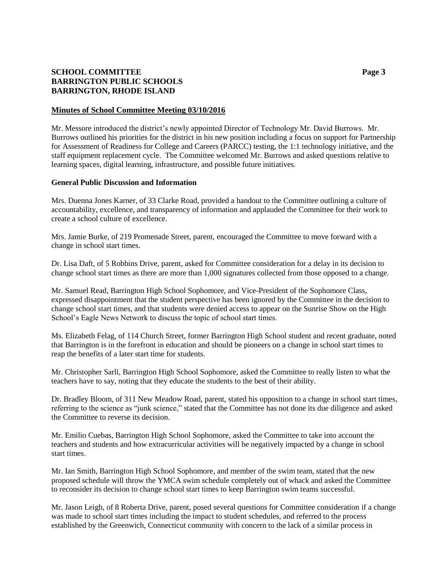# **SCHOOL COMMITTEE Page 3 BARRINGTON PUBLIC SCHOOLS BARRINGTON, RHODE ISLAND**

## **Minutes of School Committee Meeting 03/10/2016**

Mr. Messore introduced the district's newly appointed Director of Technology Mr. David Burrows. Mr. Burrows outlined his priorities for the district in his new position including a focus on support for Partnership for Assessment of Readiness for College and Careers (PARCC) testing, the 1:1 technology initiative, and the staff equipment replacement cycle. The Committee welcomed Mr. Burrows and asked questions relative to learning spaces, digital learning, infrastructure, and possible future initiatives.

## **General Public Discussion and Information**

Mrs. Duenna Jones Karner, of 33 Clarke Road, provided a handout to the Committee outlining a culture of accountability, excellence, and transparency of information and applauded the Committee for their work to create a school culture of excellence.

Mrs. Jamie Burke, of 219 Promenade Street, parent, encouraged the Committee to move forward with a change in school start times.

Dr. Lisa Daft, of 5 Robbins Drive, parent, asked for Committee consideration for a delay in its decision to change school start times as there are more than 1,000 signatures collected from those opposed to a change.

Mr. Samuel Read, Barrington High School Sophomore, and Vice-President of the Sophomore Class, expressed disappointment that the student perspective has been ignored by the Committee in the decision to change school start times, and that students were denied access to appear on the Sunrise Show on the High School's Eagle News Network to discuss the topic of school start times.

Ms. Elizabeth Felag, of 114 Church Street, former Barrington High School student and recent graduate, noted that Barrington is in the forefront in education and should be pioneers on a change in school start times to reap the benefits of a later start time for students.

Mr. Christopher Sarli, Barrington High School Sophomore, asked the Committee to really listen to what the teachers have to say, noting that they educate the students to the best of their ability.

Dr. Bradley Bloom, of 311 New Meadow Road, parent, stated his opposition to a change in school start times, referring to the science as "junk science," stated that the Committee has not done its due diligence and asked the Committee to reverse its decision.

Mr. Emilio Cuebas, Barrington High School Sophomore, asked the Committee to take into account the teachers and students and how extracurricular activities will be negatively impacted by a change in school start times.

Mr. Ian Smith, Barrington High School Sophomore, and member of the swim team, stated that the new proposed schedule will throw the YMCA swim schedule completely out of whack and asked the Committee to reconsider its decision to change school start times to keep Barrington swim teams successful.

Mr. Jason Leigh, of 8 Roberta Drive, parent, posed several questions for Committee consideration if a change was made to school start times including the impact to student schedules, and referred to the process established by the Greenwich, Connecticut community with concern to the lack of a similar process in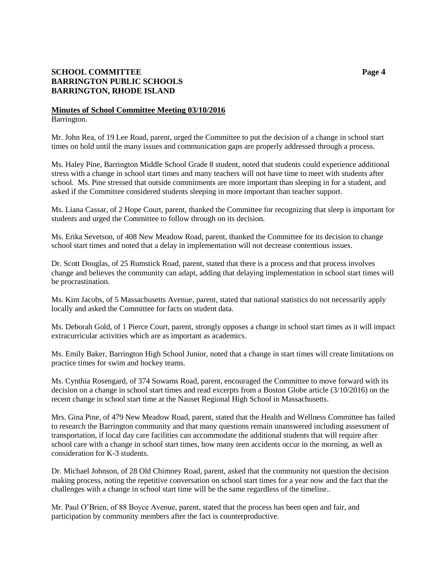# **SCHOOL COMMITTEE Page 4 BARRINGTON PUBLIC SCHOOLS BARRINGTON, RHODE ISLAND**

## **Minutes of School Committee Meeting 03/10/2016** Barrington.

Mr. John Rea, of 19 Lee Road, parent, urged the Committee to put the decision of a change in school start times on hold until the many issues and communication gaps are properly addressed through a process.

Ms. Haley Pine, Barrington Middle School Grade 8 student, noted that students could experience additional stress with a change in school start times and many teachers will not have time to meet with students after school. Ms. Pine stressed that outside commitments are more important than sleeping in for a student, and asked if the Committee considered students sleeping in more important than teacher support.

Ms. Liana Cassar, of 2 Hope Court, parent, thanked the Committee for recognizing that sleep is important for students and urged the Committee to follow through on its decision.

Ms. Erika Sevetson, of 408 New Meadow Road, parent, thanked the Committee for its decision to change school start times and noted that a delay in implementation will not decrease contentious issues.

Dr. Scott Douglas, of 25 Rumstick Road, parent, stated that there is a process and that process involves change and believes the community can adapt, adding that delaying implementation in school start times will be procrastination.

Ms. Kim Jacobs, of 5 Massachusetts Avenue, parent, stated that national statistics do not necessarily apply locally and asked the Committee for facts on student data.

Ms. Deborah Gold, of 1 Pierce Court, parent, strongly opposes a change in school start times as it will impact extracurricular activities which are as important as academics.

Ms. Emily Baker, Barrington High School Junior, noted that a change in start times will create limitations on practice times for swim and hockey teams.

Ms. Cynthia Rosengard, of 374 Sowams Road, parent, encouraged the Committee to move forward with its decision on a change in school start times and read excerpts from a Boston Globe article (3/10/2016) on the recent change in school start time at the Nauset Regional High School in Massachusetts.

Mrs. Gina Pine, of 479 New Meadow Road, parent, stated that the Health and Wellness Committee has failed to research the Barrington community and that many questions remain unanswered including assessment of transportation, if local day care facilities can accommodate the additional students that will require after school care with a change in school start times, how many teen accidents occur in the morning, as well as consideration for K-3 students.

Dr. Michael Johnson, of 28 Old Chimney Road, parent, asked that the community not question the decision making process, noting the repetitive conversation on school start times for a year now and the fact that the challenges with a change in school start time will be the same regardless of the timeline..

Mr. Paul O'Brien, of 88 Boyce Avenue, parent, stated that the process has been open and fair, and participation by community members after the fact is counterproductive.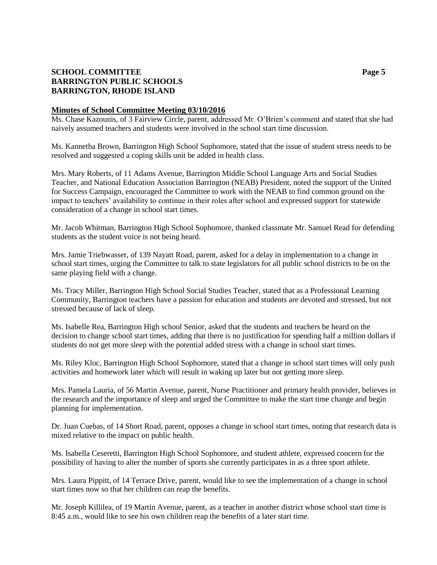# **SCHOOL COMMITTEE Page 5 BARRINGTON PUBLIC SCHOOLS BARRINGTON, RHODE ISLAND**

## **Minutes of School Committee Meeting 03/10/2016**

Ms. Chase Kazounis, of 3 Fairview Circle, parent, addressed Mr. O'Brien's comment and stated that she had naively assumed teachers and students were involved in the school start time discussion.

Ms. Kannetha Brown, Barrington High School Sophomore, stated that the issue of student stress needs to be resolved and suggested a coping skills unit be added in health class.

Mrs. Mary Roberts, of 11 Adams Avenue, Barrington Middle School Language Arts and Social Studies Teacher, and National Education Association Barrington (NEAB) President, noted the support of the United for Success Campaign, encouraged the Committee to work with the NEAB to find common ground on the impact to teachers' availability to continue in their roles after school and expressed support for statewide consideration of a change in school start times.

Mr. Jacob Whitman, Barrington High School Sophomore, thanked classmate Mr. Samuel Read for defending students as the student voice is not being heard.

Mrs. Jamie Triebwasser, of 139 Nayatt Road, parent, asked for a delay in implementation to a change in school start times, urging the Committee to talk to state legislators for all public school districts to be on the same playing field with a change.

Ms. Tracy Miller, Barrington High School Social Studies Teacher, stated that as a Professional Learning Community, Barrington teachers have a passion for education and students are devoted and stressed, but not stressed because of lack of sleep.

Ms. Isabelle Rea, Barrington High school Senior, asked that the students and teachers be heard on the decision to change school start times, adding that there is no justification for spending half a million dollars if students do not get more sleep with the potential added stress with a change in school start times.

Ms. Riley Kloc, Barrington High School Sophomore, stated that a change in school start times will only push activities and homework later which will result in waking up later but not getting more sleep.

Mrs. Pamela Lauria, of 56 Martin Avenue, parent, Nurse Practitioner and primary health provider, believes in the research and the importance of sleep and urged the Committee to make the start time change and begin planning for implementation.

Dr. Juan Cuebas, of 14 Short Road, parent, opposes a change in school start times, noting that research data is mixed relative to the impact on public health.

Ms. Isabella Ceseretti, Barrington High School Sophomore, and student athlete, expressed concern for the possibility of having to alter the number of sports she currently participates in as a three sport athlete.

Mrs. Laura Pippitt, of 14 Terrace Drive, parent, would like to see the implementation of a change in school start times now so that her children can reap the benefits.

Mr. Joseph Killilea, of 19 Martin Avenue, parent, as a teacher in another district whose school start time is 8:45 a.m., would like to see his own children reap the benefits of a later start time.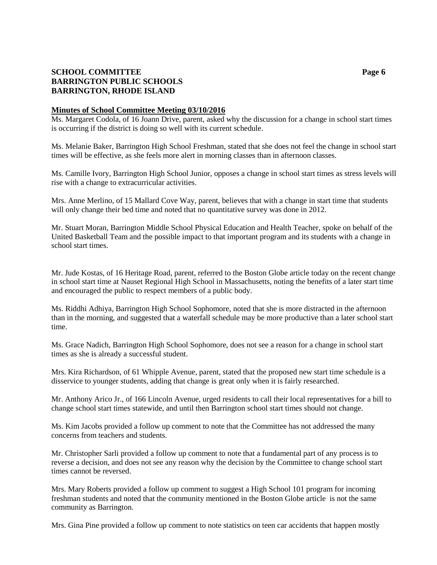# **SCHOOL COMMITTEE Page 6 BARRINGTON PUBLIC SCHOOLS BARRINGTON, RHODE ISLAND**

## **Minutes of School Committee Meeting 03/10/2016**

Ms. Margaret Codola, of 16 Joann Drive, parent, asked why the discussion for a change in school start times is occurring if the district is doing so well with its current schedule.

Ms. Melanie Baker, Barrington High School Freshman, stated that she does not feel the change in school start times will be effective, as she feels more alert in morning classes than in afternoon classes.

Ms. Camille Ivory, Barrington High School Junior, opposes a change in school start times as stress levels will rise with a change to extracurricular activities.

Mrs. Anne Merlino, of 15 Mallard Cove Way, parent, believes that with a change in start time that students will only change their bed time and noted that no quantitative survey was done in 2012.

Mr. Stuart Moran, Barrington Middle School Physical Education and Health Teacher, spoke on behalf of the United Basketball Team and the possible impact to that important program and its students with a change in school start times.

Mr. Jude Kostas, of 16 Heritage Road, parent, referred to the Boston Globe article today on the recent change in school start time at Nauset Regional High School in Massachusetts, noting the benefits of a later start time and encouraged the public to respect members of a public body.

Ms. Riddhi Adhiya, Barrington High School Sophomore, noted that she is more distracted in the afternoon than in the morning, and suggested that a waterfall schedule may be more productive than a later school start time.

Ms. Grace Nadich, Barrington High School Sophomore, does not see a reason for a change in school start times as she is already a successful student.

Mrs. Kira Richardson, of 61 Whipple Avenue, parent, stated that the proposed new start time schedule is a disservice to younger students, adding that change is great only when it is fairly researched.

Mr. Anthony Arico Jr., of 166 Lincoln Avenue, urged residents to call their local representatives for a bill to change school start times statewide, and until then Barrington school start times should not change.

Ms. Kim Jacobs provided a follow up comment to note that the Committee has not addressed the many concerns from teachers and students.

Mr. Christopher Sarli provided a follow up comment to note that a fundamental part of any process is to reverse a decision, and does not see any reason why the decision by the Committee to change school start times cannot be reversed.

Mrs. Mary Roberts provided a follow up comment to suggest a High School 101 program for incoming freshman students and noted that the community mentioned in the Boston Globe article is not the same community as Barrington.

Mrs. Gina Pine provided a follow up comment to note statistics on teen car accidents that happen mostly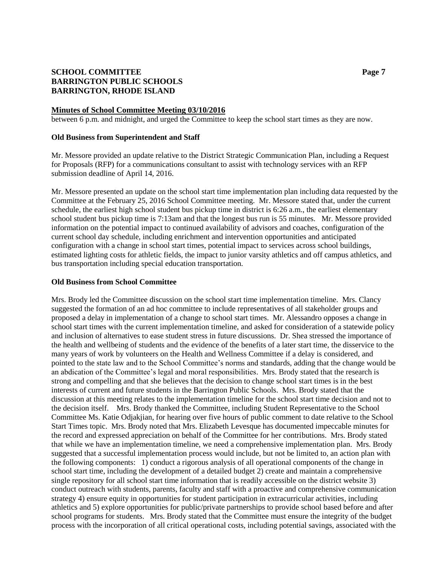# **SCHOOL COMMITTEE Page 7 BARRINGTON PUBLIC SCHOOLS BARRINGTON, RHODE ISLAND**

#### **Minutes of School Committee Meeting 03/10/2016**

between 6 p.m. and midnight, and urged the Committee to keep the school start times as they are now.

#### **Old Business from Superintendent and Staff**

Mr. Messore provided an update relative to the District Strategic Communication Plan, including a Request for Proposals (RFP) for a communications consultant to assist with technology services with an RFP submission deadline of April 14, 2016.

Mr. Messore presented an update on the school start time implementation plan including data requested by the Committee at the February 25, 2016 School Committee meeting. Mr. Messore stated that, under the current schedule, the earliest high school student bus pickup time in district is 6:26 a.m., the earliest elementary school student bus pickup time is 7:13am and that the longest bus run is 55 minutes. Mr. Messore provided information on the potential impact to continued availability of advisors and coaches, configuration of the current school day schedule, including enrichment and intervention opportunities and anticipated configuration with a change in school start times, potential impact to services across school buildings, estimated lighting costs for athletic fields, the impact to junior varsity athletics and off campus athletics, and bus transportation including special education transportation.

## **Old Business from School Committee**

Mrs. Brody led the Committee discussion on the school start time implementation timeline. Mrs. Clancy suggested the formation of an ad hoc committee to include representatives of all stakeholder groups and proposed a delay in implementation of a change to school start times. Mr. Alessandro opposes a change in school start times with the current implementation timeline, and asked for consideration of a statewide policy and inclusion of alternatives to ease student stress in future discussions. Dr. Shea stressed the importance of the health and wellbeing of students and the evidence of the benefits of a later start time, the disservice to the many years of work by volunteers on the Health and Wellness Committee if a delay is considered, and pointed to the state law and to the School Committee's norms and standards, adding that the change would be an abdication of the Committee's legal and moral responsibilities. Mrs. Brody stated that the research is strong and compelling and that she believes that the decision to change school start times is in the best interests of current and future students in the Barrington Public Schools. Mrs. Brody stated that the discussion at this meeting relates to the implementation timeline for the school start time decision and not to the decision itself. Mrs. Brody thanked the Committee, including Student Representative to the School Committee Ms. Katie Odjakjian, for hearing over five hours of public comment to date relative to the School Start Times topic. Mrs. Brody noted that Mrs. Elizabeth Levesque has documented impeccable minutes for the record and expressed appreciation on behalf of the Committee for her contributions. Mrs. Brody stated that while we have an implementation timeline, we need a comprehensive implementation plan. Mrs. Brody suggested that a successful implementation process would include, but not be limited to, an action plan with the following components: 1) conduct a rigorous analysis of all operational components of the change in school start time, including the development of a detailed budget 2) create and maintain a comprehensive single repository for all school start time information that is readily accessible on the district website 3) conduct outreach with students, parents, faculty and staff with a proactive and comprehensive communication strategy 4) ensure equity in opportunities for student participation in extracurricular activities, including athletics and 5) explore opportunities for public/private partnerships to provide school based before and after school programs for students. Mrs. Brody stated that the Committee must ensure the integrity of the budget process with the incorporation of all critical operational costs, including potential savings, associated with the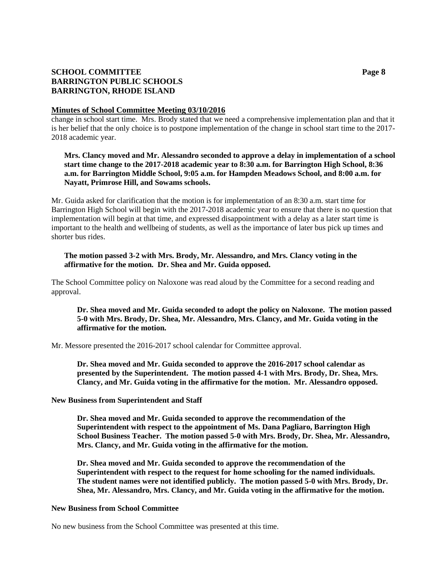# **SCHOOL COMMITTEE Page 8 BARRINGTON PUBLIC SCHOOLS BARRINGTON, RHODE ISLAND**

## **Minutes of School Committee Meeting 03/10/2016**

change in school start time. Mrs. Brody stated that we need a comprehensive implementation plan and that it is her belief that the only choice is to postpone implementation of the change in school start time to the 2017- 2018 academic year.

## **Mrs. Clancy moved and Mr. Alessandro seconded to approve a delay in implementation of a school start time change to the 2017-2018 academic year to 8:30 a.m. for Barrington High School, 8:36 a.m. for Barrington Middle School, 9:05 a.m. for Hampden Meadows School, and 8:00 a.m. for Nayatt, Primrose Hill, and Sowams schools.**

Mr. Guida asked for clarification that the motion is for implementation of an 8:30 a.m. start time for Barrington High School will begin with the 2017-2018 academic year to ensure that there is no question that implementation will begin at that time, and expressed disappointment with a delay as a later start time is important to the health and wellbeing of students, as well as the importance of later bus pick up times and shorter bus rides.

## **The motion passed 3-2 with Mrs. Brody, Mr. Alessandro, and Mrs. Clancy voting in the affirmative for the motion. Dr. Shea and Mr. Guida opposed.**

The School Committee policy on Naloxone was read aloud by the Committee for a second reading and approval.

## **Dr. Shea moved and Mr. Guida seconded to adopt the policy on Naloxone. The motion passed 5-0 with Mrs. Brody, Dr. Shea, Mr. Alessandro, Mrs. Clancy, and Mr. Guida voting in the affirmative for the motion.**

Mr. Messore presented the 2016-2017 school calendar for Committee approval.

**Dr. Shea moved and Mr. Guida seconded to approve the 2016-2017 school calendar as presented by the Superintendent. The motion passed 4-1 with Mrs. Brody, Dr. Shea, Mrs. Clancy, and Mr. Guida voting in the affirmative for the motion. Mr. Alessandro opposed.**

## **New Business from Superintendent and Staff**

**Dr. Shea moved and Mr. Guida seconded to approve the recommendation of the Superintendent with respect to the appointment of Ms. Dana Pagliaro, Barrington High School Business Teacher. The motion passed 5-0 with Mrs. Brody, Dr. Shea, Mr. Alessandro, Mrs. Clancy, and Mr. Guida voting in the affirmative for the motion.**

**Dr. Shea moved and Mr. Guida seconded to approve the recommendation of the Superintendent with respect to the request for home schooling for the named individuals. The student names were not identified publicly. The motion passed 5-0 with Mrs. Brody, Dr. Shea, Mr. Alessandro, Mrs. Clancy, and Mr. Guida voting in the affirmative for the motion.**

#### **New Business from School Committee**

No new business from the School Committee was presented at this time.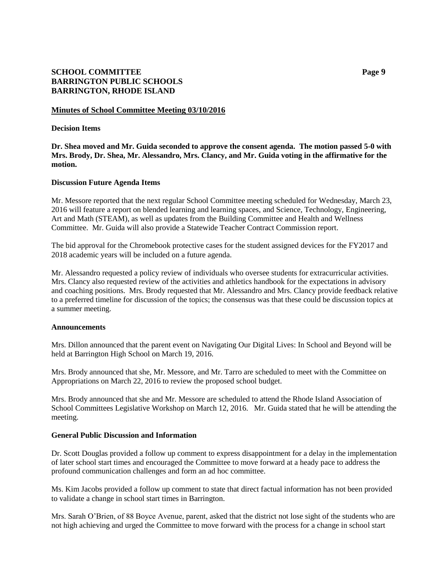# **SCHOOL COMMITTEE Page 9 BARRINGTON PUBLIC SCHOOLS BARRINGTON, RHODE ISLAND**

## **Minutes of School Committee Meeting 03/10/2016**

#### **Decision Items**

**Dr. Shea moved and Mr. Guida seconded to approve the consent agenda. The motion passed 5-0 with Mrs. Brody, Dr. Shea, Mr. Alessandro, Mrs. Clancy, and Mr. Guida voting in the affirmative for the motion.**

## **Discussion Future Agenda Items**

Mr. Messore reported that the next regular School Committee meeting scheduled for Wednesday, March 23, 2016 will feature a report on blended learning and learning spaces, and Science, Technology, Engineering, Art and Math (STEAM), as well as updates from the Building Committee and Health and Wellness Committee. Mr. Guida will also provide a Statewide Teacher Contract Commission report.

The bid approval for the Chromebook protective cases for the student assigned devices for the FY2017 and 2018 academic years will be included on a future agenda.

Mr. Alessandro requested a policy review of individuals who oversee students for extracurricular activities. Mrs. Clancy also requested review of the activities and athletics handbook for the expectations in advisory and coaching positions. Mrs. Brody requested that Mr. Alessandro and Mrs. Clancy provide feedback relative to a preferred timeline for discussion of the topics; the consensus was that these could be discussion topics at a summer meeting.

#### **Announcements**

Mrs. Dillon announced that the parent event on Navigating Our Digital Lives: In School and Beyond will be held at Barrington High School on March 19, 2016.

Mrs. Brody announced that she, Mr. Messore, and Mr. Tarro are scheduled to meet with the Committee on Appropriations on March 22, 2016 to review the proposed school budget.

Mrs. Brody announced that she and Mr. Messore are scheduled to attend the Rhode Island Association of School Committees Legislative Workshop on March 12, 2016. Mr. Guida stated that he will be attending the meeting.

## **General Public Discussion and Information**

Dr. Scott Douglas provided a follow up comment to express disappointment for a delay in the implementation of later school start times and encouraged the Committee to move forward at a heady pace to address the profound communication challenges and form an ad hoc committee.

Ms. Kim Jacobs provided a follow up comment to state that direct factual information has not been provided to validate a change in school start times in Barrington.

Mrs. Sarah O'Brien, of 88 Boyce Avenue, parent, asked that the district not lose sight of the students who are not high achieving and urged the Committee to move forward with the process for a change in school start